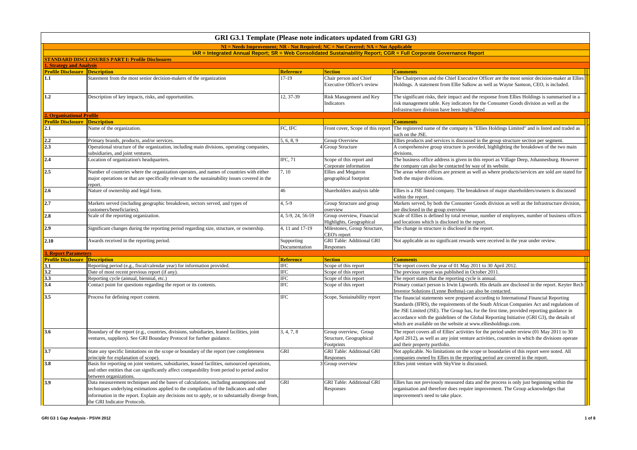|                                       |                                                                                                                                                                                                                                                                                                                     |                             | GRI G3.1 Template (Please note indicators updated from GRI G3)                    |                                                                                                                                                                                                                                                                                                                                                                                                                                              |
|---------------------------------------|---------------------------------------------------------------------------------------------------------------------------------------------------------------------------------------------------------------------------------------------------------------------------------------------------------------------|-----------------------------|-----------------------------------------------------------------------------------|----------------------------------------------------------------------------------------------------------------------------------------------------------------------------------------------------------------------------------------------------------------------------------------------------------------------------------------------------------------------------------------------------------------------------------------------|
|                                       |                                                                                                                                                                                                                                                                                                                     |                             | $NI = Neds$ Improvement: NR - Not Required: NC = Not Covered: NA = Not Applicable |                                                                                                                                                                                                                                                                                                                                                                                                                                              |
|                                       |                                                                                                                                                                                                                                                                                                                     |                             |                                                                                   | IAR = Integrated Annual Report; SR = Web Consolidated Sustainability Report; CGR = Full Corporate Governance Report                                                                                                                                                                                                                                                                                                                          |
| <b>Strategy and Analysis</b>          | <b>STANDARD DISCLOSURES PART I: Profile Disclosures</b>                                                                                                                                                                                                                                                             |                             |                                                                                   |                                                                                                                                                                                                                                                                                                                                                                                                                                              |
| <b>Profile Disclosure Description</b> |                                                                                                                                                                                                                                                                                                                     | <b>Reference</b>            | <b>Section</b>                                                                    | <b>Comments</b>                                                                                                                                                                                                                                                                                                                                                                                                                              |
| 1.1                                   | Statement from the most senior decision-makers of the organization                                                                                                                                                                                                                                                  | 17-19                       | Chair person and Chief                                                            | The Chairperson and the Chief Executive Officer are the most senior decision-maker at Ellies                                                                                                                                                                                                                                                                                                                                                 |
|                                       |                                                                                                                                                                                                                                                                                                                     |                             | Executive Officer's review                                                        | Holdings. A statement from Ellie Salkow as well as Wayne Samson, CEO, is included.                                                                                                                                                                                                                                                                                                                                                           |
| $1.2\phantom{0}$                      | Description of key impacts, risks, and opportunities.                                                                                                                                                                                                                                                               | 12, 37-39                   | Risk Management and Key<br>Indicators                                             | The significant risks, their impact and the response from Ellies Holdings is summarised in a<br>risk management table. Key indicators for the Consumer Goods division as well as the<br>Infrastructure division have been highlighted                                                                                                                                                                                                        |
| <b>. Organisational Profile</b>       |                                                                                                                                                                                                                                                                                                                     |                             |                                                                                   |                                                                                                                                                                                                                                                                                                                                                                                                                                              |
| <b>Profile Disclosure</b>             | <b>Description</b>                                                                                                                                                                                                                                                                                                  |                             |                                                                                   | <b>Comments</b>                                                                                                                                                                                                                                                                                                                                                                                                                              |
| 2.1                                   | Name of the organization.                                                                                                                                                                                                                                                                                           | FC. IFC                     | Front cover, Scope of this report                                                 | The registered name of the company is "Ellies Holdings Limited" and is listed and traded as<br>such on the JSE.                                                                                                                                                                                                                                                                                                                              |
| 2,2                                   | Primary brands, products, and/or services.                                                                                                                                                                                                                                                                          | 5, 6, 8, 9                  | Group Overview                                                                    | Ellies products and services is discussed in the group structure section per segment.                                                                                                                                                                                                                                                                                                                                                        |
| 2.3                                   | Operational structure of the organization, including main divisions, operating companies,<br>subsidiaries, and joint ventures.                                                                                                                                                                                      |                             | Group Structure                                                                   | A comprehensive group structure is provided, highlighting the breakdown of the two main<br>divisions.                                                                                                                                                                                                                                                                                                                                        |
| 2.4                                   | Location of organization's headquarters.                                                                                                                                                                                                                                                                            | IFC, 71                     | Scope of this report and<br>Corporate information                                 | The business office address is given in this report as Village Deep, Johannesburg. However<br>the company can also be contacted by way of its website.                                                                                                                                                                                                                                                                                       |
| $\vert$ 2.5                           | Number of countries where the organization operates, and names of countries with either<br>major operations or that are specifically relevant to the sustainability issues covered in the<br>eport.                                                                                                                 | 7, 10                       | Ellies and Megatron<br>geographical footprint                                     | The areas where offices are present as well as where products/services are sold are stated for<br>both the major divisions.                                                                                                                                                                                                                                                                                                                  |
| 2.6                                   | Nature of ownership and legal form.                                                                                                                                                                                                                                                                                 | 46                          | Shareholders analysis table                                                       | Ellies is a JSE listed company. The breakdown of major shareholders/owners is discussed<br>within the report.                                                                                                                                                                                                                                                                                                                                |
| 2.7                                   | Markets served (including geographic breakdown, sectors served, and types of<br>customers/beneficiaries).                                                                                                                                                                                                           | $4.5-9$                     | Group Structure and group<br>overview                                             | Markets served, by both the Consumer Goods division as well as the Infrastructure division,<br>are disclosed in the group overview                                                                                                                                                                                                                                                                                                           |
| 2.8                                   | Scale of the reporting organization.                                                                                                                                                                                                                                                                                | 4, 5-9, 24, 56-59           | Group overview, Financial<br>Highlights, Geographical                             | Scale of Ellies is defined by total revenue, number of employees, number of business offices<br>and locations which is disclosed in the report.                                                                                                                                                                                                                                                                                              |
| 2.9                                   | Significant changes during the reporting period regarding size, structure, or ownership.                                                                                                                                                                                                                            | 4, 11 and 17-19             | Milestones, Group Structure,<br>CEO's report                                      | The change in structure is disclosed in the report.                                                                                                                                                                                                                                                                                                                                                                                          |
| 2.10                                  | Awards received in the reporting period.                                                                                                                                                                                                                                                                            | Supporting<br>Documentation | <b>GRI Table: Additional GRI</b><br>Responses                                     | Not applicable as no significant rewards were received in the year under review.                                                                                                                                                                                                                                                                                                                                                             |
| <b>Report Parameters</b>              |                                                                                                                                                                                                                                                                                                                     |                             |                                                                                   |                                                                                                                                                                                                                                                                                                                                                                                                                                              |
| <b>Profile Disclosure Description</b> |                                                                                                                                                                                                                                                                                                                     | <b>Reference</b>            | <b>Section</b>                                                                    | <b>Comments</b>                                                                                                                                                                                                                                                                                                                                                                                                                              |
| 3.1                                   | Reporting period (e.g., fiscal/calendar year) for information provided.                                                                                                                                                                                                                                             | <b>IFC</b>                  | Scope of this report                                                              | The report covers the year of 01 May 2011 to 30 April 2012.                                                                                                                                                                                                                                                                                                                                                                                  |
| 3.2                                   | Date of most recent previous report (if any).                                                                                                                                                                                                                                                                       | <b>IFC</b>                  | Scope of this report                                                              | The previous report was published in October 2011                                                                                                                                                                                                                                                                                                                                                                                            |
| 3.3                                   | Reporting cycle (annual, biennial, etc.)                                                                                                                                                                                                                                                                            | <b>IFC</b>                  | Scope of this report                                                              | The report states that the reporting cycle is annual.                                                                                                                                                                                                                                                                                                                                                                                        |
| 3.4                                   | Contact point for questions regarding the report or its contents.                                                                                                                                                                                                                                                   | <b>IFC</b>                  | Scope of this report                                                              | Primary contact person is Irwin Lipworth. His details are disclosed in the report. Keyter Rech<br>Investor Solutions (Lynne Bothma) can also be contacted.                                                                                                                                                                                                                                                                                   |
| 3.5                                   | Process for defining report content.                                                                                                                                                                                                                                                                                | IFC                         | Scope, Sustainability report                                                      | The financial statements were prepared according to International Financial Reporting<br>Standards (IFRS), the requirements of the South African Companies Act and regulations of<br>the JSE Limited (JSE). The Group has, for the first time, provided reporting guidance in<br>accordance with the guidelines of the Global Reporting Initiative (GRI G3), the details of<br>which are available on the website at www.elliesholdings.com. |
| 3.6                                   | Boundary of the report (e.g., countries, divisions, subsidiaries, leased facilities, joint<br>ventures, suppliers). See GRI Boundary Protocol for further guidance.                                                                                                                                                 | 3, 4, 7, 8                  | Group overview, Group<br>Structure, Geographical<br>Footprints                    | The report covers all of Ellies' activities for the period under review (01 May 2011 to 30<br>April 2012), as well as any joint venture activities, countries in which the divisions operate<br>and their property portfolio.                                                                                                                                                                                                                |
| 3.7                                   | State any specific limitations on the scope or boundary of the report (see completeness<br>principle for explanation of scope).                                                                                                                                                                                     | GRI                         | <b>GRI Table: Additional GRI</b><br>Responses                                     | Not applicable. No limitations on the scope or boundaries of this report were noted. All<br>companies owned by Ellies in the reporting period are covered in the report.                                                                                                                                                                                                                                                                     |
| 3.8                                   | Basis for reporting on joint ventures, subsidiaries, leased facilities, outsourced operations,<br>and other entities that can significantly affect comparability from period to period and/or<br>between organizations.                                                                                             |                             | Group overview                                                                    | Ellies joint venture with SkyVine is discussed.                                                                                                                                                                                                                                                                                                                                                                                              |
| 3.9                                   | Data measurement techniques and the bases of calculations, including assumptions and<br>echniques underlying estimations applied to the compilation of the Indicators and other<br>information in the report. Explain any decisions not to apply, or to substantially diverge from,<br>the GRI Indicator Protocols. | GRI                         | <b>GRI Table: Additional GRI</b><br>Responses                                     | Ellies has not previously measured data and the process is only just beginning within the<br>organisation and therefore does require improvement. The Group acknowledges that<br>improvement's need to take place.                                                                                                                                                                                                                           |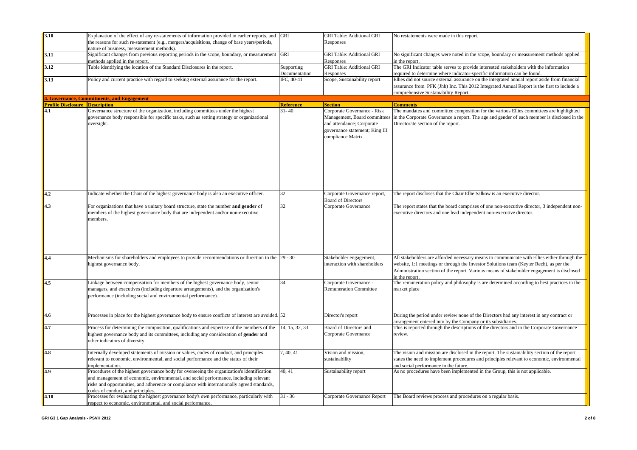| 3.10                                  | Explanation of the effect of any re-statements of information provided in earlier reports, and<br>the reasons for such re-statement (e.g., mergers/acquisitions, change of base years/periods,<br>nature of business, measurement methods).                                                                           | GRI                         | <b>GRI Table: Additional GRI</b><br>Responses                                                                   | No restatements were made in this report.                                                                                                                                                                                                                                                            |
|---------------------------------------|-----------------------------------------------------------------------------------------------------------------------------------------------------------------------------------------------------------------------------------------------------------------------------------------------------------------------|-----------------------------|-----------------------------------------------------------------------------------------------------------------|------------------------------------------------------------------------------------------------------------------------------------------------------------------------------------------------------------------------------------------------------------------------------------------------------|
| 3.11                                  | Significant changes from previous reporting periods in the scope, boundary, or measurement<br>nethods applied in the report.                                                                                                                                                                                          | GRI                         | <b>GRI Table: Additional GRI</b><br>Responses                                                                   | No significant changes were noted in the scope, boundary or measurement methods applied<br>in the report.                                                                                                                                                                                            |
| 3.12                                  | Table identifying the location of the Standard Disclosures in the report.                                                                                                                                                                                                                                             | Supporting<br>Documentation | <b>GRI Table: Additional GRI</b><br>Responses                                                                   | The GRI Indicator table serves to provide interested stakeholders with the information<br>required to determine where indicator-specific information can be found.                                                                                                                                   |
| 3.13                                  | Policy and current practice with regard to seeking external assurance for the report.                                                                                                                                                                                                                                 | IFC, 40-41                  | Scope, Sustainability report                                                                                    | Ellies did not source external assurance on the integrated annual report aside from financial<br>assurance from PFK (Jhb) Inc. This 2012 Integrated Annual Report is the first to include a<br>comprehensive Sustainability Report.                                                                  |
|                                       | 4. Governance, Commitments, and Engagement                                                                                                                                                                                                                                                                            |                             |                                                                                                                 |                                                                                                                                                                                                                                                                                                      |
| <b>Profile Disclosure Description</b> |                                                                                                                                                                                                                                                                                                                       | <b>Reference</b>            | <b>Section</b>                                                                                                  | <b>Comments</b>                                                                                                                                                                                                                                                                                      |
| 4.1                                   | Governance structure of the organization, including committees under the highest<br>governance body responsible for specific tasks, such as setting strategy or organizational<br>oversight.                                                                                                                          | $31 - 40$                   | Corporate Governance - Risk<br>and attendance; Corporate<br>governance statement; King III<br>compliance Matrix | The mandates and committee composition for the various Ellies committees are highlighted<br>Management, Board committees in the Corporate Governance a report. The age and gender of each member is disclosed in the<br>Directorate section of the report.                                           |
| 4.2                                   | Indicate whether the Chair of the highest governance body is also an executive officer.                                                                                                                                                                                                                               | 32                          | Corporate Governance report,<br><b>Board of Directors</b>                                                       | The report discloses that the Chair Ellie Salkow is an executive director.                                                                                                                                                                                                                           |
| 4.3                                   | For organizations that have a unitary board structure, state the number and gender of<br>members of the highest governance body that are independent and/or non-executive<br>members.                                                                                                                                 | 32                          | Corporate Governance                                                                                            | The report states that the board comprises of one non-executive director, 3 independent non-<br>executive directors and one lead independent non-executive director.                                                                                                                                 |
| 4.4                                   | Mechanisms for shareholders and employees to provide recommendations or direction to the 29 - 30<br>highest governance body.                                                                                                                                                                                          |                             | Stakeholder engagement,<br>interaction with shareholders                                                        | All stakeholders are afforded necessary means to communicate with Ellies either through the<br>website, 1:1 meetings or through the Investor Solutions team (Keyter Rech), as per the<br>Administration section of the report. Various means of stakeholder engagement is disclosed<br>n the report. |
| 4.5                                   | Linkage between compensation for members of the highest governance body, senior<br>managers, and executives (including departure arrangements), and the organization's<br>performance (including social and environmental performance).                                                                               | 34                          | Corporate Governance -<br><b>Remuneration Committee</b>                                                         | The remuneration policy and philosophy is are determined according to best practices in the<br>market place                                                                                                                                                                                          |
| 4.6                                   | Processes in place for the highest governance body to ensure conflicts of interest are avoided. 52                                                                                                                                                                                                                    |                             | Director's report                                                                                               | During the period under review none of the Directors had any interest in any contract or<br>arrangement entered into by the Company or its subsidiaries.                                                                                                                                             |
| 4.7                                   | Process for determining the composition, qualifications and expertise of the members of the<br>highest governance body and its committees, including any consideration of <b>gender</b> and<br>other indicators of diversity.                                                                                         | 14, 15, 32, 33              | Board of Directors and<br>Corporate Governance                                                                  | This is reported through the descriptions of the directors and in the Corporate Governance<br>review.                                                                                                                                                                                                |
| 4.8                                   | Internally developed statements of mission or values, codes of conduct, and principles<br>relevant to economic, environmental, and social performance and the status of their<br>implementation.                                                                                                                      | 7, 40, 41                   | Vision and mission,<br>sustainability                                                                           | The vision and mission are disclosed in the report. The sustainability section of the report<br>states the need to implement procedures and principles relevant to economic, environmental<br>and social performance in the future.                                                                  |
| 4.9                                   | Procedures of the highest governance body for overseeing the organization's identification<br>and management of economic, environmental, and social performance, including relevant<br>risks and opportunities, and adherence or compliance with internationally agreed standards,<br>odes of conduct, and principles | 40, 41                      | Sustainability report                                                                                           | As no procedures have been implemented in the Group, this is not applicable.                                                                                                                                                                                                                         |
| 4.10                                  | Processes for evaluating the highest governance body's own performance, particularly with<br>respect to economic, environmental, and social performance.                                                                                                                                                              | $31 - 36$                   | Corporate Governance Report                                                                                     | The Board reviews process and procedures on a regular basis.                                                                                                                                                                                                                                         |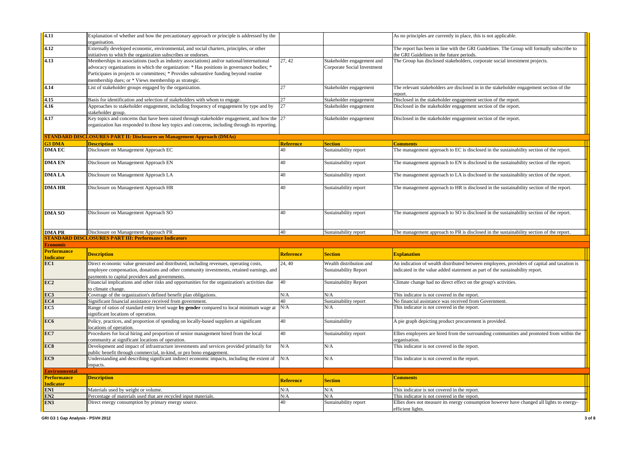| 4.11                 | Explanation of whether and how the precautionary approach or principle is addressed by the     |                  |                              | As no principles are currently in place, this is not applicable.                                               |
|----------------------|------------------------------------------------------------------------------------------------|------------------|------------------------------|----------------------------------------------------------------------------------------------------------------|
|                      |                                                                                                |                  |                              |                                                                                                                |
|                      | organisation.                                                                                  |                  |                              |                                                                                                                |
| 4.12                 | Externally developed economic, environmental, and social charters, principles, or other        |                  |                              | The report has been in line with the GRI Guidelines. The Group will formally subscribe to                      |
|                      | initiatives to which the organization subscribes or endorses.                                  |                  |                              | the GRI Guidelines in the future periods.                                                                      |
| 4.13                 | Memberships in associations (such as industry associations) and/or national/international      | 27, 42           | Stakeholder engagement and   | The Group has disclosed stakeholders, corporate social investment projects.                                    |
|                      | advocacy organizations in which the organization: * Has positions in governance bodies; *      |                  | Corporate Social Investment  |                                                                                                                |
|                      | Participates in projects or committees; * Provides substantive funding beyond routine          |                  |                              |                                                                                                                |
|                      | membership dues; or * Views membership as strategic.                                           |                  |                              |                                                                                                                |
| 4.14                 | List of stakeholder groups engaged by the organization.                                        | 27               | Stakeholder engagement       | The relevant stakeholders are disclosed in in the stakeholder engagement section of the                        |
|                      |                                                                                                |                  |                              | report.                                                                                                        |
| 4.15                 | Basis for identification and selection of stakeholders with whom to engage.                    | 27               | Stakeholder engagement       | Disclosed in the stakeholder engagement section of the report.                                                 |
| 4.16                 |                                                                                                |                  |                              |                                                                                                                |
|                      | Approaches to stakeholder engagement, including frequency of engagement by type and by         | 27               | Stakeholder engagement       | Disclosed in the stakeholder engagement section of the report.                                                 |
|                      | takeholder group.                                                                              |                  |                              |                                                                                                                |
| 4.17                 | Key topics and concerns that have been raised through stakeholder engagement, and how the 27   |                  | Stakeholder engagement       | Disclosed in the stakeholder engagement section of the report.                                                 |
|                      | organization has responded to those key topics and concerns, including through its reporting.  |                  |                              |                                                                                                                |
|                      |                                                                                                |                  |                              |                                                                                                                |
|                      | <b>STANDARD DISCLOSURES PART II: Disclosures on Management Approach (DMAs)</b>                 |                  |                              |                                                                                                                |
| <b>G3 DMA</b>        | <b>Description</b>                                                                             | <b>Reference</b> | <b>Section</b>               | Comments                                                                                                       |
| <b>DMA EC</b>        | Disclosure on Management Approach EC                                                           | 40               | Sustainability report        | The management approach to EC is disclosed in the sustainability section of the report.                        |
|                      |                                                                                                |                  |                              |                                                                                                                |
| <b>DMA EN</b>        | Disclosure on Management Approach EN                                                           | 40               | Sustainability report        | The management approach to EN is disclosed in the sustainability section of the report.                        |
|                      |                                                                                                |                  |                              |                                                                                                                |
| <b>DMALA</b>         | Disclosure on Management Approach LA                                                           | 40               | Sustainability report        | The management approach to LA is disclosed in the sustainability section of the report.                        |
|                      |                                                                                                |                  |                              |                                                                                                                |
| <b>DMA HR</b>        | Disclosure on Management Approach HR                                                           | 40               | Sustainability report        | The management approach to HR is disclosed in the sustainability section of the report.                        |
|                      |                                                                                                |                  |                              |                                                                                                                |
|                      |                                                                                                |                  |                              |                                                                                                                |
|                      |                                                                                                |                  |                              |                                                                                                                |
|                      |                                                                                                |                  |                              |                                                                                                                |
| <b>DMA SO</b>        | Disclosure on Management Approach SO                                                           | 40               | Sustainability report        | The management approach to SO is disclosed in the sustainability section of the report.                        |
|                      |                                                                                                |                  |                              |                                                                                                                |
|                      |                                                                                                |                  |                              |                                                                                                                |
|                      |                                                                                                |                  |                              |                                                                                                                |
| <b>DMAPR</b>         | Disclosure on Management Approach PR                                                           | 40               | Sustainability report        | The management approach to PR is disclosed in the sustainability section of the report.                        |
|                      | <b>STANDARD DISCLOSURES PART III: Performance Indicators</b>                                   |                  |                              |                                                                                                                |
| <b>Economic</b>      |                                                                                                |                  |                              |                                                                                                                |
| <b>Performance</b>   |                                                                                                |                  |                              |                                                                                                                |
| <b>Indicator</b>     | <b>Description</b>                                                                             | <b>Reference</b> | <b>Section</b>               | <b>Explanation</b>                                                                                             |
| EC1                  | Direct economic value generated and distributed, including revenues, operating costs,          | 24.40            | Wealth distribution and      | An indication of wealth distributed between employees, providers of capital and taxation is                    |
|                      |                                                                                                |                  |                              |                                                                                                                |
|                      | employee compensation, donations and other community investments, retained earnings, and       |                  | <b>Sustainability Report</b> | indicated in the value added statement as part of the sustainability report.                                   |
|                      | payments to capital providers and governments.                                                 |                  |                              |                                                                                                                |
| EC2                  | Financial implications and other risks and opportunities for the organization's activities due | 40               | <b>Sustainability Report</b> | Climate change had no direct effect on the group's activities.                                                 |
|                      | to climate change.                                                                             |                  |                              |                                                                                                                |
| EC3                  | Coverage of the organization's defined benefit plan obligations.                               | N/A              | N/A                          | This indicator is not covered in the report.                                                                   |
| EC4                  | Significant financial assistance received from government.                                     | 40               | Sustainability report        | No financial assistance was received from Government.                                                          |
| EC5                  | Range of ratios of standard entry level wage by gender compared to local minimum wage at       | N/A              | N/A                          | This indicator is not covered in the report.                                                                   |
|                      | significant locations of operation.                                                            |                  |                              |                                                                                                                |
| EC6                  | Policy, practices, and proportion of spending on locally-based suppliers at significant        | 40               | Sustainability               | A pie graph depicting product procurement is provided.                                                         |
|                      | ocations of operation.                                                                         |                  |                              |                                                                                                                |
| EC7                  | Procedures for local hiring and proportion of senior management hired from the local           | 40               | Sustainability report        | Ellies employees are hired from the surrounding communities and promoted from within the                       |
|                      | community at significant locations of operation.                                               |                  |                              | organisation.                                                                                                  |
| EC8                  | Development and impact of infrastructure investments and services provided primarily for       | N/A              | N/A                          | This indicator is not covered in the report.                                                                   |
|                      | public benefit through commercial, in-kind, or pro bono engagement.                            |                  |                              |                                                                                                                |
| EC9                  | Understanding and describing significant indirect economic impacts, including the extent of    | N/A              | N/A                          | This indicator is not covered in the report.                                                                   |
|                      | impacts.                                                                                       |                  |                              |                                                                                                                |
| <b>Environmental</b> |                                                                                                |                  |                              |                                                                                                                |
|                      |                                                                                                |                  |                              |                                                                                                                |
| <b>Performance</b>   | <b>Description</b>                                                                             | <b>Reference</b> | <b>Section</b>               | <b>Comments</b>                                                                                                |
| <b>Indicator</b>     |                                                                                                |                  |                              |                                                                                                                |
| EN1                  | Materials used by weight or volume.                                                            | N/A              | N/A                          | This indicator is not covered in the report.                                                                   |
| EN <sub>2</sub>      | Percentage of materials used that are recycled input materials.                                | N/A              | N/A                          | This indicator is not covered in the report.                                                                   |
| EN <sub>3</sub>      | Direct energy consumption by primary energy source.                                            | 40               | Sustainability report        | Ellies does not measure its energy consumption however have changed all lights to energy-<br>efficient lights. |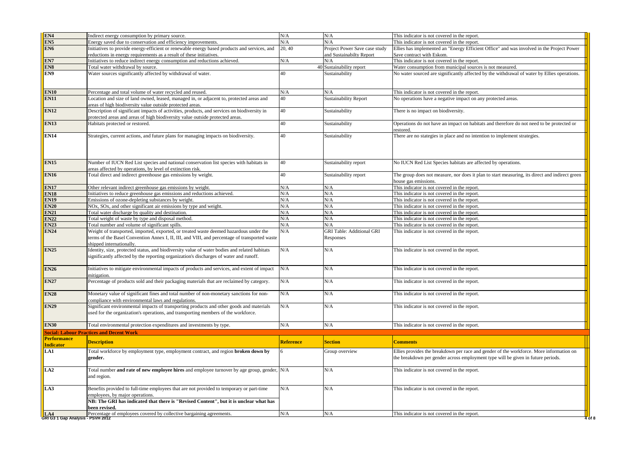| EN4                                      | Indirect energy consumption by primary source.                                                                                                                                                                       | N/A              | N/A                                           | This indicator is not covered in the report.                                                                           |
|------------------------------------------|----------------------------------------------------------------------------------------------------------------------------------------------------------------------------------------------------------------------|------------------|-----------------------------------------------|------------------------------------------------------------------------------------------------------------------------|
| EN <sub>5</sub>                          | Energy saved due to conservation and efficiency improvements.                                                                                                                                                        | N/A              | N/A                                           | This indicator is not covered in the report.                                                                           |
| EN <sub>6</sub>                          | Initiatives to provide energy-efficient or renewable energy based products and services, and                                                                                                                         | 20, 40           | Project Power Save case study                 | Ellies has implemented an "Energy Efficient Office" and was involved in the Project Power                              |
|                                          | reductions in energy requirements as a result of these initiatives.                                                                                                                                                  |                  | and Sustainabilty Report                      | Save contract with Eskom.                                                                                              |
| EN7                                      | Initiatives to reduce indirect energy consumption and reductions achieved.                                                                                                                                           | N/A              | N/A                                           | This indicator is not covered in the report.                                                                           |
| EN8                                      | Total water withdrawal by source.                                                                                                                                                                                    |                  | 40 Sustainability report                      | Water consumption from municipal sources is not measured.                                                              |
| EN9                                      | Water sources significantly affected by withdrawal of water.                                                                                                                                                         | 40               | Sustainability                                | No water sourced are significantly affected by the withdrawal of water by Ellies operations.                           |
| <b>EN10</b>                              | Percentage and total volume of water recycled and reused.                                                                                                                                                            | N/A              | N/A                                           | This indicator is not covered in the report.                                                                           |
| <b>EN11</b>                              | Location and size of land owned, leased, managed in, or adjacent to, protected areas and<br>areas of high biodiversity value outside protected areas.                                                                | 40               | <b>Sustainability Report</b>                  | No operations have a negative impact on any protected areas.                                                           |
| <b>EN12</b>                              | Description of significant impacts of activities, products, and services on biodiversity in<br>protected areas and areas of high biodiversity value outside protected areas.                                         | 40               | Sustainability                                | There is no impact on biodiversity.                                                                                    |
| <b>EN13</b>                              | Habitats protected or restored.                                                                                                                                                                                      | 40               | Sustainability                                | Operations do not have an impact on habitats and therefore do not need to be protected or<br>restored.                 |
| <b>EN14</b>                              | Strategies, current actions, and future plans for managing impacts on biodiversity.                                                                                                                                  | 40               | Sustainability                                | There are no stategies in place and no intention to implement strategies.                                              |
| <b>EN15</b>                              | Number of IUCN Red List species and national conservation list species with habitats in<br>areas affected by operations, by level of extinction risk.                                                                | 40               | Sustainability report                         | No IUCN Red List Species habitats are affected by operations.                                                          |
| <b>EN16</b>                              | Total direct and indirect greenhouse gas emissions by weight.                                                                                                                                                        | 40               | Sustainability report                         | The group does not measure, nor does it plan to start measuring, its direct and indirect green<br>house gas emissions. |
| <b>EN17</b>                              | Other relevant indirect greenhouse gas emissions by weight.                                                                                                                                                          | N/A              | N/A                                           | This indicator is not covered in the report.                                                                           |
| <b>EN18</b>                              | Initiatives to reduce greenhouse gas emissions and reductions achieved.                                                                                                                                              | N/A              | N/A                                           | This indicator is not covered in the report.                                                                           |
| <b>EN19</b>                              | Emissions of ozone-depleting substances by weight.                                                                                                                                                                   | N/A              | N/A                                           | This indicator is not covered in the report.                                                                           |
| <b>EN20</b>                              | NOx, SOx, and other significant air emissions by type and weight.                                                                                                                                                    | N/A              | N/A                                           | This indicator is not covered in the report.                                                                           |
| <b>EN21</b>                              | Total water discharge by quality and destination.                                                                                                                                                                    | N/A              | N/A                                           | This indicator is not covered in the report.                                                                           |
| <b>EN22</b>                              | Total weight of waste by type and disposal method.                                                                                                                                                                   | N/A              | N/A                                           | This indicator is not covered in the report.                                                                           |
| <b>EN23</b>                              | Total number and volume of significant spills.                                                                                                                                                                       | N/A              | N/A                                           | This indicator is not covered in the report.                                                                           |
| <b>EN24</b>                              | Weight of transported, imported, exported, or treated waste deemed hazardous under the<br>terms of the Basel Convention Annex I, II, III, and VIII, and percentage of transported waste<br>shipped internationally.  | N/A              | <b>GRI Table: Additional GRI</b><br>Responses | This indicator is not covered in the report.                                                                           |
| <b>EN25</b>                              | Identity, size, protected status, and biodiversity value of water bodies and related habitats<br>significantly affected by the reporting organization's discharges of water and runoff.                              | N/A              | N/A                                           | This indicator is not covered in the report.                                                                           |
| <b>EN26</b>                              | Initiatives to mitigate environmental impacts of products and services, and extent of impact<br>mitigation.                                                                                                          | N/A              | N/A                                           | This indicator is not covered in the report.                                                                           |
| <b>EN27</b>                              | Percentage of products sold and their packaging materials that are reclaimed by category.                                                                                                                            | N/A              | N/A                                           | This indicator is not covered in the report.                                                                           |
| <b>EN28</b>                              | Monetary value of significant fines and total number of non-monetary sanctions for non-<br>compliance with environmental laws and regulations.                                                                       | N/A              | N/A                                           | This indicator is not covered in the report.                                                                           |
| <b>EN29</b>                              | Significant environmental impacts of transporting products and other goods and materials<br>used for the organization's operations, and transporting members of the workforce.                                       | N/A              | N/A                                           | This indicator is not covered in the report.                                                                           |
| <b>EN30</b>                              | Total environmental protection expenditures and investments by type.                                                                                                                                                 | N/A              | N/A                                           | This indicator is not covered in the report.                                                                           |
|                                          | <b>Social: Labour Practices and Decent Work</b>                                                                                                                                                                      |                  |                                               |                                                                                                                        |
| <b>Performance</b>                       | <b>Description</b>                                                                                                                                                                                                   | <b>Reference</b> | <b>Section</b>                                | <b>Comments</b>                                                                                                        |
| <b>Indicator</b><br>LA1                  | Total workforce by employment type, employment contract, and region <b>broken down by</b>                                                                                                                            |                  | Group overview                                | Ellies provides the breakdown per race and gender of the workforce. More information on                                |
|                                          | gender.                                                                                                                                                                                                              |                  |                                               | the breakdown per gender across employment type will be given in future periods.                                       |
| LA2                                      | Total number and rate of new employee hires and employee turnover by age group, gender, N/A<br>and region.                                                                                                           |                  | N/A                                           | This indicator is not covered in the report.                                                                           |
| LA3                                      | Benefits provided to full-time employees that are not provided to temporary or part-time<br>employees, by major operations.<br>NB: The GRI has indicated that there is "Revised Content", but it is unclear what has | N/A              | N/A                                           | This indicator is not covered in the report.                                                                           |
|                                          | been revised.<br>Percentage of employees covered by collective bargaining agreements.                                                                                                                                |                  |                                               |                                                                                                                        |
| LA4<br>GRI G3 1 Gap Analysis - PSVH 2012 |                                                                                                                                                                                                                      | N/A              | N/A                                           | This indicator is not covered in the report.                                                                           |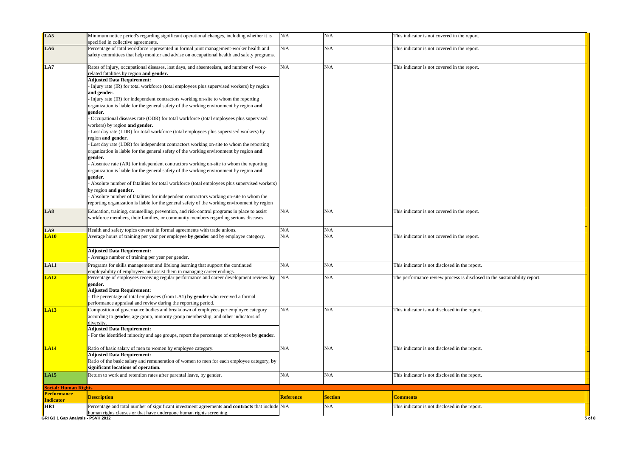| LA5                                    | Minimum notice period's regarding significant operational changes, including whether it is<br>specified in collective agreements. | N/A       | N/A            | This indicator is not covered in the report.                              |
|----------------------------------------|-----------------------------------------------------------------------------------------------------------------------------------|-----------|----------------|---------------------------------------------------------------------------|
| LA6                                    | Percentage of total workforce represented in formal joint management-worker health and                                            | N/A       | N/A            | This indicator is not covered in the report.                              |
|                                        | safety committees that help monitor and advise on occupational health and safety programs.                                        |           |                |                                                                           |
| LA7                                    | Rates of injury, occupational diseases, lost days, and absenteeism, and number of work-                                           | N/A       | N/A            | This indicator is not covered in the report.                              |
|                                        | elated fatalities by region and gender.                                                                                           |           |                |                                                                           |
|                                        | <b>Adjusted Data Requirement:</b>                                                                                                 |           |                |                                                                           |
|                                        | Injury rate (IR) for total workforce (total employees plus supervised workers) by region                                          |           |                |                                                                           |
|                                        | and gender.                                                                                                                       |           |                |                                                                           |
|                                        | Injury rate (IR) for independent contractors working on-site to whom the reporting                                                |           |                |                                                                           |
|                                        | organization is liable for the general safety of the working environment by region and                                            |           |                |                                                                           |
|                                        | gender.                                                                                                                           |           |                |                                                                           |
|                                        | Occupational diseases rate (ODR) for total workforce (total employees plus supervised                                             |           |                |                                                                           |
|                                        | workers) by region and gender.                                                                                                    |           |                |                                                                           |
|                                        | Lost day rate (LDR) for total workforce (total employees plus supervised workers) by                                              |           |                |                                                                           |
|                                        | region and gender.                                                                                                                |           |                |                                                                           |
|                                        | Lost day rate (LDR) for independent contractors working on-site to whom the reporting                                             |           |                |                                                                           |
|                                        | organization is liable for the general safety of the working environment by region and                                            |           |                |                                                                           |
|                                        | gender.                                                                                                                           |           |                |                                                                           |
|                                        | Absentee rate (AR) for independent contractors working on-site to whom the reporting                                              |           |                |                                                                           |
|                                        | organization is liable for the general safety of the working environment by region and                                            |           |                |                                                                           |
|                                        | gender.                                                                                                                           |           |                |                                                                           |
|                                        | Absolute number of fatalities for total workforce (total employees plus supervised workers)                                       |           |                |                                                                           |
|                                        | by region and gender.                                                                                                             |           |                |                                                                           |
|                                        | Absolute number of fatalities for independent contractors working on-site to whom the                                             |           |                |                                                                           |
|                                        | reporting organization is liable for the general safety of the working environment by region                                      |           |                |                                                                           |
| LA8                                    | Education, training, counselling, prevention, and risk-control programs in place to assist                                        | N/A       | N/A            | This indicator is not covered in the report.                              |
|                                        | workforce members, their families, or community members regarding serious diseases.                                               |           |                |                                                                           |
|                                        |                                                                                                                                   |           |                |                                                                           |
| LA9                                    | Health and safety topics covered in formal agreements with trade unions                                                           | N/A       | N/A            |                                                                           |
| LA10                                   | Average hours of training per year per employee by gender and by employee category.                                               | N/A       | N/A            | This indicator is not covered in the report.                              |
|                                        | <b>Adjusted Data Requirement:</b>                                                                                                 |           |                |                                                                           |
|                                        | Average number of training per year per gender.                                                                                   |           |                |                                                                           |
| <b>LA11</b>                            | Programs for skills management and lifelong learning that support the continued                                                   | N/A       | N/A            | This indicator is not disclosed in the report.                            |
|                                        | employability of employees and assist them in managing career endings.                                                            |           |                |                                                                           |
| <b>LA12</b>                            | Percentage of employees receiving regular performance and career development reviews by                                           | N/A       | N/A            | The performance review process is disclosed in the sustainability report. |
|                                        | gender.                                                                                                                           |           |                |                                                                           |
|                                        | <b>Adjusted Data Requirement:</b>                                                                                                 |           |                |                                                                           |
|                                        | The percentage of total employees (from LA1) by gender who received a formal                                                      |           |                |                                                                           |
|                                        | performance appraisal and review during the reporting period.                                                                     |           |                |                                                                           |
| <b>LA13</b>                            | Composition of governance bodies and breakdown of employees per employee category                                                 | N/A       | N/A            | This indicator is not disclosed in the report.                            |
|                                        | according to gender, age group, minority group membership, and other indicators of                                                |           |                |                                                                           |
|                                        | diversity.                                                                                                                        |           |                |                                                                           |
|                                        | <b>Adjusted Data Requirement:</b>                                                                                                 |           |                |                                                                           |
|                                        | For the identified minority and age groups, report the percentage of employees by gender.                                         |           |                |                                                                           |
| <b>LA14</b>                            | Ratio of basic salary of men to women by employee category.                                                                       | N/A       | N/A            | This indicator is not disclosed in the report.                            |
|                                        | <b>Adjusted Data Requirement:</b>                                                                                                 |           |                |                                                                           |
|                                        | Ratio of the basic salary and remuneration of women to men for each employee category, by                                         |           |                |                                                                           |
|                                        | significant locations of operation.                                                                                               |           |                |                                                                           |
| LA15                                   | Return to work and retention rates after parental leave, by gender.                                                               | N/A       | N/A            | This indicator is not disclosed in the report.                            |
|                                        |                                                                                                                                   |           |                |                                                                           |
| <b>Social: Human Rights</b>            |                                                                                                                                   |           |                |                                                                           |
| <b>Performance</b><br><b>Indicator</b> | <b>Description</b>                                                                                                                | Reference | <b>Section</b> | <b>Comments</b>                                                           |
| HR1                                    | Percentage and total number of significant investment agreements and contracts that include N/A                                   |           | N/A            | This indicator is not disclosed in the report.                            |
|                                        | human rights clauses or that have undergone human rights screening.                                                               |           |                |                                                                           |
| GRI G3 1 Gap Analysis - PSVH 2012      |                                                                                                                                   |           |                | 5 of 8                                                                    |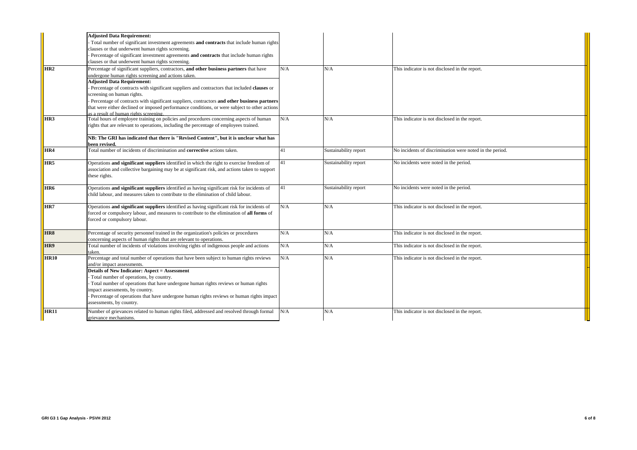|                  | <b>Adjusted Data Requirement:</b>                                                              |     |                       |                                                          |
|------------------|------------------------------------------------------------------------------------------------|-----|-----------------------|----------------------------------------------------------|
|                  | Total number of significant investment agreements and contracts that include human rights      |     |                       |                                                          |
|                  | clauses or that underwent human rights screening.                                              |     |                       |                                                          |
|                  | Percentage of significant investment agreements and contracts that include human rights        |     |                       |                                                          |
|                  | clauses or that underwent human rights screening.                                              |     |                       |                                                          |
| HR <sub>2</sub>  | Percentage of significant suppliers, contractors, and other business partners that have        | N/A | N/A                   | This indicator is not disclosed in the report.           |
|                  | undergone human rights screening and actions taken.                                            |     |                       |                                                          |
|                  | <b>Adjusted Data Requirement:</b>                                                              |     |                       |                                                          |
|                  | Percentage of contracts with significant suppliers and contractors that included clauses or    |     |                       |                                                          |
|                  | screening on human rights.                                                                     |     |                       |                                                          |
|                  | Percentage of contracts with significant suppliers, contractors and other business partners    |     |                       |                                                          |
|                  | that were either declined or imposed performance conditions, or were subject to other actions  |     |                       |                                                          |
|                  | s a result of human rights screening.                                                          |     |                       |                                                          |
| HR <sub>3</sub>  | Total hours of employee training on policies and procedures concerning aspects of human        | N/A | N/A                   | This indicator is not disclosed in the report.           |
|                  | rights that are relevant to operations, including the percentage of employees trained.         |     |                       |                                                          |
|                  |                                                                                                |     |                       |                                                          |
|                  | NB: The GRI has indicated that there is "Revised Content", but it is unclear what has          |     |                       |                                                          |
|                  | been revised.                                                                                  |     |                       |                                                          |
| HR4              | Total number of incidents of discrimination and <b>corrective</b> actions taken.               | 41  | Sustainability report | No incidents of discrimination were noted in the period. |
|                  |                                                                                                |     |                       |                                                          |
| HR <sub>5</sub>  | Operations and significant suppliers identified in which the right to exercise freedom of      | 41  | Sustainability report | No incidents were noted in the period.                   |
|                  | association and collective bargaining may be at significant risk, and actions taken to support |     |                       |                                                          |
|                  | these rights.                                                                                  |     |                       |                                                          |
|                  |                                                                                                |     |                       |                                                          |
| HR <sub>6</sub>  | Operations and significant suppliers identified as having significant risk for incidents of    | 41  | Sustainability report | No incidents were noted in the period.                   |
|                  | child labour, and measures taken to contribute to the elimination of child labour.             |     |                       |                                                          |
| HR7              |                                                                                                | N/A | N/A                   | This indicator is not disclosed in the report.           |
|                  | Operations and significant suppliers identified as having significant risk for incidents of    |     |                       |                                                          |
|                  | forced or compulsory labour, and measures to contribute to the elimination of all forms of     |     |                       |                                                          |
|                  | forced or compulsory labour.                                                                   |     |                       |                                                          |
|                  |                                                                                                |     |                       |                                                          |
| HR8              | Percentage of security personnel trained in the organization's policies or procedures          | N/A | N/A                   | This indicator is not disclosed in the report.           |
|                  | concerning aspects of human rights that are relevant to operations.                            |     |                       |                                                          |
| HR9              | Total number of incidents of violations involving rights of indigenous people and actions      | N/A | N/A                   | This indicator is not disclosed in the report.           |
|                  | aken.                                                                                          | N/A |                       |                                                          |
| <b>HR10</b>      | Percentage and total number of operations that have been subject to human rights reviews       |     | N/A                   | This indicator is not disclosed in the report.           |
|                  | and/or impact assessments.                                                                     |     |                       |                                                          |
|                  | <b>Details of New Indicator: Aspect = Assessment</b>                                           |     |                       |                                                          |
|                  | Total number of operations, by country.                                                        |     |                       |                                                          |
|                  | Total number of operations that have undergone human rights reviews or human rights            |     |                       |                                                          |
|                  | impact assessments, by country.                                                                |     |                       |                                                          |
|                  | Percentage of operations that have undergone human rights reviews or human rights impact       |     |                       |                                                          |
|                  | assessments, by country.                                                                       |     |                       |                                                          |
| HR <sub>11</sub> | Number of grievances related to human rights filed, addressed and resolved through formal      | N/A | N/A                   | This indicator is not disclosed in the report.           |
|                  | grievance mechanisms.                                                                          |     |                       |                                                          |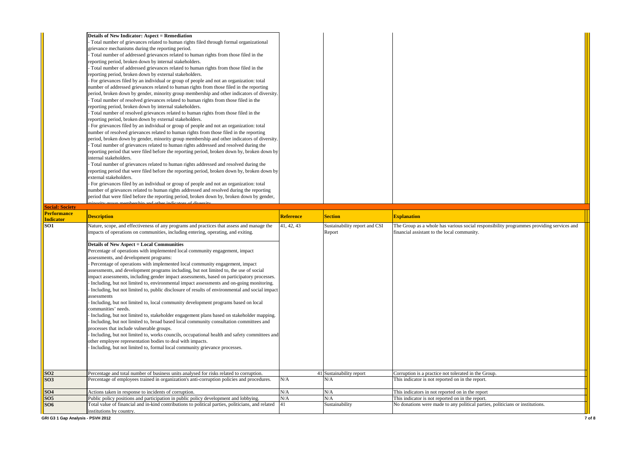| <b>Details of New Indicator: Aspect = Remediation</b>                                        |  |
|----------------------------------------------------------------------------------------------|--|
| Total number of grievances related to human rights filed through formal organizational       |  |
| grievance mechanisms during the reporting period.                                            |  |
| Total number of addressed grievances related to human rights from those filed in the         |  |
| reporting period, broken down by internal stakeholders.                                      |  |
| Total number of addressed grievances related to human rights from those filed in the         |  |
| reporting period, broken down by external stakeholders.                                      |  |
| - For grievances filed by an individual or group of people and not an organization: total    |  |
| number of addressed grievances related to human rights from those filed in the reporting     |  |
| period, broken down by gender, minority group membership and other indicators of diversity.  |  |
| Total number of resolved grievances related to human rights from those filed in the          |  |
| reporting period, broken down by internal stakeholders.                                      |  |
| Total number of resolved grievances related to human rights from those filed in the          |  |
| reporting period, broken down by external stakeholders.                                      |  |
| - For grievances filed by an individual or group of people and not an organization: total    |  |
| number of resolved grievances related to human rights from those filed in the reporting      |  |
| period, broken down by gender, minority group membership and other indicators of diversity.  |  |
| Total number of grievances related to human rights addressed and resolved during the         |  |
| reporting period that were filed before the reporting period, broken down by, broken down by |  |
| internal stakeholders.                                                                       |  |
| Total number of grievances related to human rights addressed and resolved during the         |  |
| reporting period that were filed before the reporting period, broken down by, broken down by |  |
| external stakeholders.                                                                       |  |
| - For grievances filed by an individual or group of people and not an organization: total    |  |
| number of grievances related to human rights addressed and resolved during the reporting     |  |
| period that were filed before the reporting period, broken down by, broken down by gender,   |  |
|                                                                                              |  |

| <b>Social: Society</b>         |                                                                                                                                                                                            |                  |                               |                                                                                          |
|--------------------------------|--------------------------------------------------------------------------------------------------------------------------------------------------------------------------------------------|------------------|-------------------------------|------------------------------------------------------------------------------------------|
| <b>Performance</b>             | <b>Description</b>                                                                                                                                                                         | <b>Reference</b> | <b>Section</b>                | <b>Explanation</b>                                                                       |
| <b>Indicator</b><br><b>SO1</b> | Nature, scope, and effectiveness of any programs and practices that assess and manage the                                                                                                  | 41, 42, 43       | Sustainability report and CSI | The Group as a whole has various social responsibility programmes providing services and |
|                                | impacts of operations on communities, including entering, operating, and exiting.                                                                                                          |                  | Report                        | financial assistant to the local community.                                              |
|                                | <b>Details of New Aspect = Local Communities</b>                                                                                                                                           |                  |                               |                                                                                          |
|                                | Percentage of operations with implemented local community engagement, impact                                                                                                               |                  |                               |                                                                                          |
|                                | assessments, and development programs:                                                                                                                                                     |                  |                               |                                                                                          |
|                                | Percentage of operations with implemented local community engagement, impact                                                                                                               |                  |                               |                                                                                          |
|                                | assessments, and development programs including, but not limited to, the use of social                                                                                                     |                  |                               |                                                                                          |
|                                | impact assessments, including gender impact assessments, based on participatory processes.                                                                                                 |                  |                               |                                                                                          |
|                                | Including, but not limited to, environmental impact assessments and on-going monitoring.<br>Including, but not limited to, public disclosure of results of environmental and social impact |                  |                               |                                                                                          |
|                                | assessments                                                                                                                                                                                |                  |                               |                                                                                          |
|                                | Including, but not limited to, local community development programs based on local                                                                                                         |                  |                               |                                                                                          |
|                                | communities' needs.                                                                                                                                                                        |                  |                               |                                                                                          |
|                                | Including, but not limited to, stakeholder engagement plans based on stakeholder mapping.                                                                                                  |                  |                               |                                                                                          |
|                                | Including, but not limited to, broad based local community consultation committees and                                                                                                     |                  |                               |                                                                                          |
|                                | processes that include vulnerable groups.                                                                                                                                                  |                  |                               |                                                                                          |
|                                | Including, but not limited to, works councils, occupational health and safety committees and                                                                                               |                  |                               |                                                                                          |
|                                | other employee representation bodies to deal with impacts.                                                                                                                                 |                  |                               |                                                                                          |
|                                | Including, but not limited to, formal local community grievance processes.                                                                                                                 |                  |                               |                                                                                          |
|                                |                                                                                                                                                                                            |                  |                               |                                                                                          |
|                                |                                                                                                                                                                                            |                  |                               |                                                                                          |
| SO <sub>2</sub>                | Percentage and total number of business units analysed for risks related to corruption.                                                                                                    |                  | 41 Sustainability report      | Corruption is a practice not tolerated in the Group.                                     |
| <b>SO3</b>                     | Percentage of employees trained in organization's anti-corruption policies and procedures.                                                                                                 | N/A              | N/A                           | This indicator is not reported on in the report.                                         |
| SO <sub>4</sub>                | Actions taken in response to incidents of corruption.                                                                                                                                      | N/A              | N/A                           | This indicators in not reported on in the report                                         |
| SO <sub>5</sub>                | Public policy positions and participation in public policy development and lobbying.                                                                                                       | N/A              | N/A                           | This indicator is not reported on in the report.                                         |
| SO6                            | Total value of financial and in-kind contributions to political parties, politicians, and related<br>institutions by country.                                                              | 41               | Sustainability                | No donations were made to any political parties, politicians or institutions.            |

minority group membership and other indicators of diversity